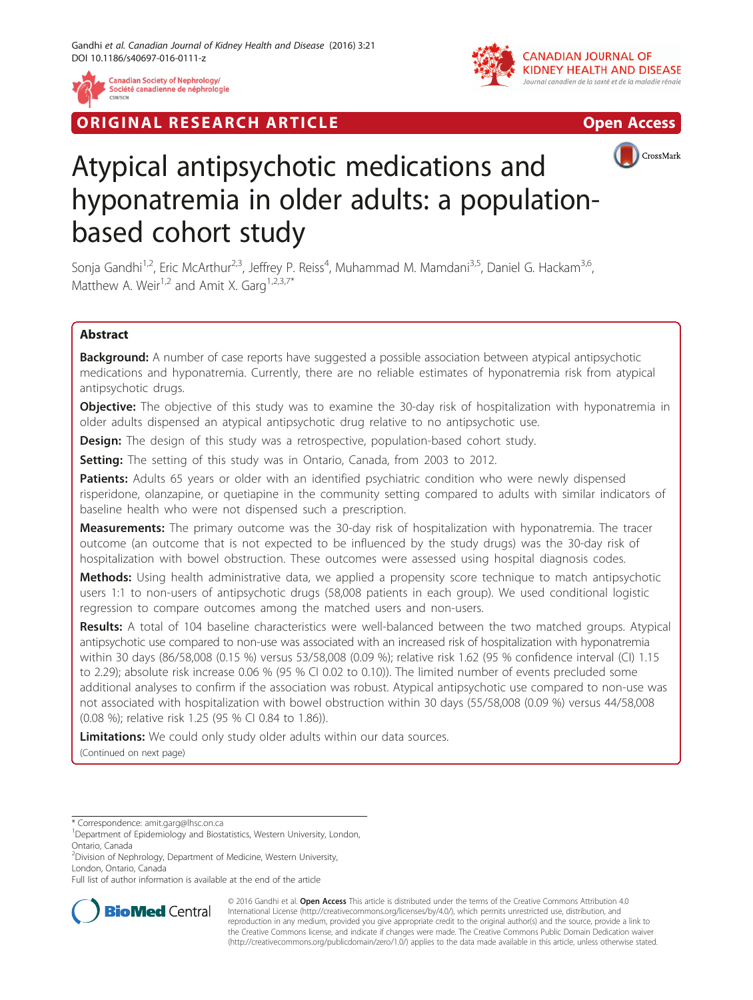







# Atypical antipsychotic medications and hyponatremia in older adults: a populationbased cohort study

Sonja Gandhi<sup>1,2</sup>, Eric McArthur<sup>2,3</sup>, Jeffrey P. Reiss<sup>4</sup>, Muhammad M. Mamdani<sup>3,5</sup>, Daniel G. Hackam<sup>3,6</sup>, Matthew A. Weir<sup>1,2</sup> and Amit X. Garg<sup>1,2,3,7\*</sup>

# Abstract

Background: A number of case reports have suggested a possible association between atypical antipsychotic medications and hyponatremia. Currently, there are no reliable estimates of hyponatremia risk from atypical antipsychotic drugs.

Objective: The objective of this study was to examine the 30-day risk of hospitalization with hyponatremia in older adults dispensed an atypical antipsychotic drug relative to no antipsychotic use.

**Design:** The design of this study was a retrospective, population-based cohort study.

Setting: The setting of this study was in Ontario, Canada, from 2003 to 2012.

Patients: Adults 65 years or older with an identified psychiatric condition who were newly dispensed risperidone, olanzapine, or quetiapine in the community setting compared to adults with similar indicators of baseline health who were not dispensed such a prescription.

**Measurements:** The primary outcome was the 30-day risk of hospitalization with hyponatremia. The tracer outcome (an outcome that is not expected to be influenced by the study drugs) was the 30-day risk of hospitalization with bowel obstruction. These outcomes were assessed using hospital diagnosis codes.

Methods: Using health administrative data, we applied a propensity score technique to match antipsychotic users 1:1 to non-users of antipsychotic drugs (58,008 patients in each group). We used conditional logistic regression to compare outcomes among the matched users and non-users.

Results: A total of 104 baseline characteristics were well-balanced between the two matched groups. Atypical antipsychotic use compared to non-use was associated with an increased risk of hospitalization with hyponatremia within 30 days (86/58,008 (0.15 %) versus 53/58,008 (0.09 %); relative risk 1.62 (95 % confidence interval (CI) 1.15 to 2.29); absolute risk increase 0.06 % (95 % CI 0.02 to 0.10)). The limited number of events precluded some additional analyses to confirm if the association was robust. Atypical antipsychotic use compared to non-use was not associated with hospitalization with bowel obstruction within 30 days (55/58,008 (0.09 %) versus 44/58,008 (0.08 %); relative risk 1.25 (95 % CI 0.84 to 1.86)).

Limitations: We could only study older adults within our data sources.

(Continued on next page)

Full list of author information is available at the end of the article



© 2016 Gandhi et al. Open Access This article is distributed under the terms of the Creative Commons Attribution 4.0 International License [\(http://creativecommons.org/licenses/by/4.0/](http://creativecommons.org/licenses/by/4.0/)), which permits unrestricted use, distribution, and reproduction in any medium, provided you give appropriate credit to the original author(s) and the source, provide a link to the Creative Commons license, and indicate if changes were made. The Creative Commons Public Domain Dedication waiver [\(http://creativecommons.org/publicdomain/zero/1.0/](http://creativecommons.org/publicdomain/zero/1.0/)) applies to the data made available in this article, unless otherwise stated.

<sup>\*</sup> Correspondence: [amit.garg@lhsc.on.ca](mailto:amit.garg@lhsc.on.ca) <sup>1</sup>

<sup>&</sup>lt;sup>1</sup>Department of Epidemiology and Biostatistics, Western University, London, Ontario, Canada

<sup>&</sup>lt;sup>2</sup> Division of Nephrology, Department of Medicine, Western University, London, Ontario, Canada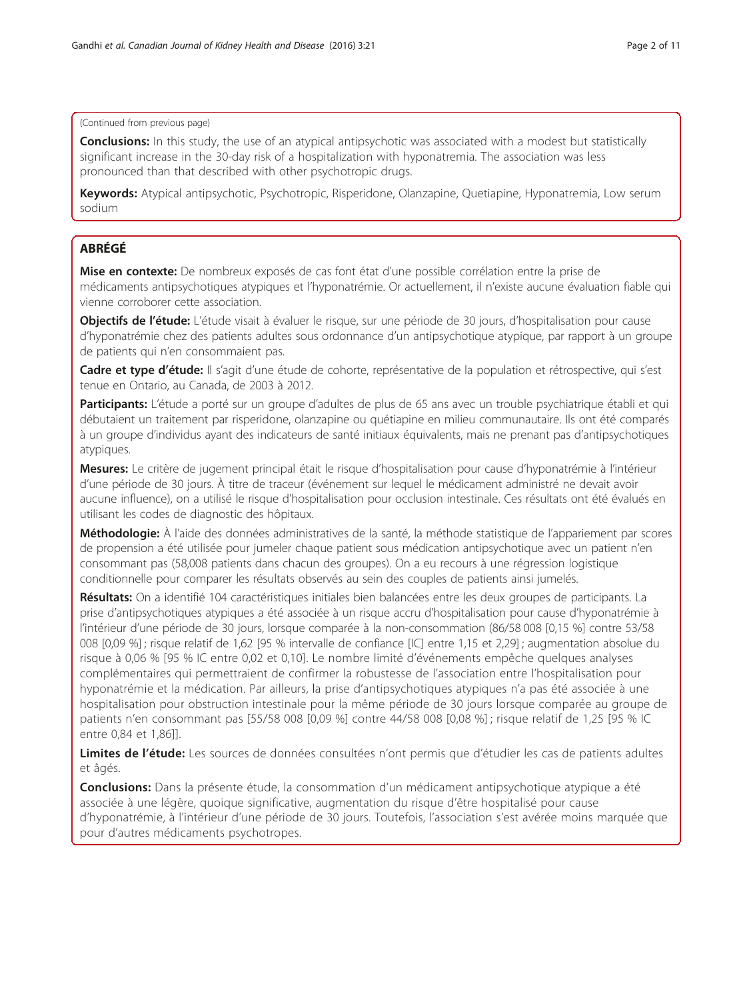#### (Continued from previous page)

**Conclusions:** In this study, the use of an atypical antipsychotic was associated with a modest but statistically significant increase in the 30-day risk of a hospitalization with hyponatremia. The association was less pronounced than that described with other psychotropic drugs.

Keywords: Atypical antipsychotic, Psychotropic, Risperidone, Olanzapine, Quetiapine, Hyponatremia, Low serum sodium

# ABRÉGÉ

Mise en contexte: De nombreux exposés de cas font état d'une possible corrélation entre la prise de médicaments antipsychotiques atypiques et l'hyponatrémie. Or actuellement, il n'existe aucune évaluation fiable qui vienne corroborer cette association.

Objectifs de l'étude: L'étude visait à évaluer le risque, sur une période de 30 jours, d'hospitalisation pour cause d'hyponatrémie chez des patients adultes sous ordonnance d'un antipsychotique atypique, par rapport à un groupe de patients qui n'en consommaient pas.

Cadre et type d'étude: Il s'agit d'une étude de cohorte, représentative de la population et rétrospective, qui s'est tenue en Ontario, au Canada, de 2003 à 2012.

Participants: L'étude a porté sur un groupe d'adultes de plus de 65 ans avec un trouble psychiatrique établi et qui débutaient un traitement par risperidone, olanzapine ou quétiapine en milieu communautaire. Ils ont été comparés à un groupe d'individus ayant des indicateurs de santé initiaux équivalents, mais ne prenant pas d'antipsychotiques atypiques.

Mesures: Le critère de jugement principal était le risque d'hospitalisation pour cause d'hyponatrémie à l'intérieur d'une période de 30 jours. À titre de traceur (événement sur lequel le médicament administré ne devait avoir aucune influence), on a utilisé le risque d'hospitalisation pour occlusion intestinale. Ces résultats ont été évalués en utilisant les codes de diagnostic des hôpitaux.

Méthodologie: À l'aide des données administratives de la santé, la méthode statistique de l'appariement par scores de propension a été utilisée pour jumeler chaque patient sous médication antipsychotique avec un patient n'en consommant pas (58,008 patients dans chacun des groupes). On a eu recours à une régression logistique conditionnelle pour comparer les résultats observés au sein des couples de patients ainsi jumelés.

Résultats: On a identifié 104 caractéristiques initiales bien balancées entre les deux groupes de participants. La prise d'antipsychotiques atypiques a été associée à un risque accru d'hospitalisation pour cause d'hyponatrémie à l'intérieur d'une période de 30 jours, lorsque comparée à la non-consommation (86/58 008 [0,15 %] contre 53/58 008 [0,09 %] ; risque relatif de 1,62 [95 % intervalle de confiance [IC] entre 1,15 et 2,29] ; augmentation absolue du risque à 0,06 % [95 % IC entre 0,02 et 0,10]. Le nombre limité d'événements empêche quelques analyses complémentaires qui permettraient de confirmer la robustesse de l'association entre l'hospitalisation pour hyponatrémie et la médication. Par ailleurs, la prise d'antipsychotiques atypiques n'a pas été associée à une hospitalisation pour obstruction intestinale pour la même période de 30 jours lorsque comparée au groupe de patients n'en consommant pas [55/58 008 [0,09 %] contre 44/58 008 [0,08 %] ; risque relatif de 1,25 [95 % IC entre 0,84 et 1,86]].

Limites de l'étude: Les sources de données consultées n'ont permis que d'étudier les cas de patients adultes et âgés.

Conclusions: Dans la présente étude, la consommation d'un médicament antipsychotique atypique a été associée à une légère, quoique significative, augmentation du risque d'être hospitalisé pour cause d'hyponatrémie, à l'intérieur d'une période de 30 jours. Toutefois, l'association s'est avérée moins marquée que pour d'autres médicaments psychotropes.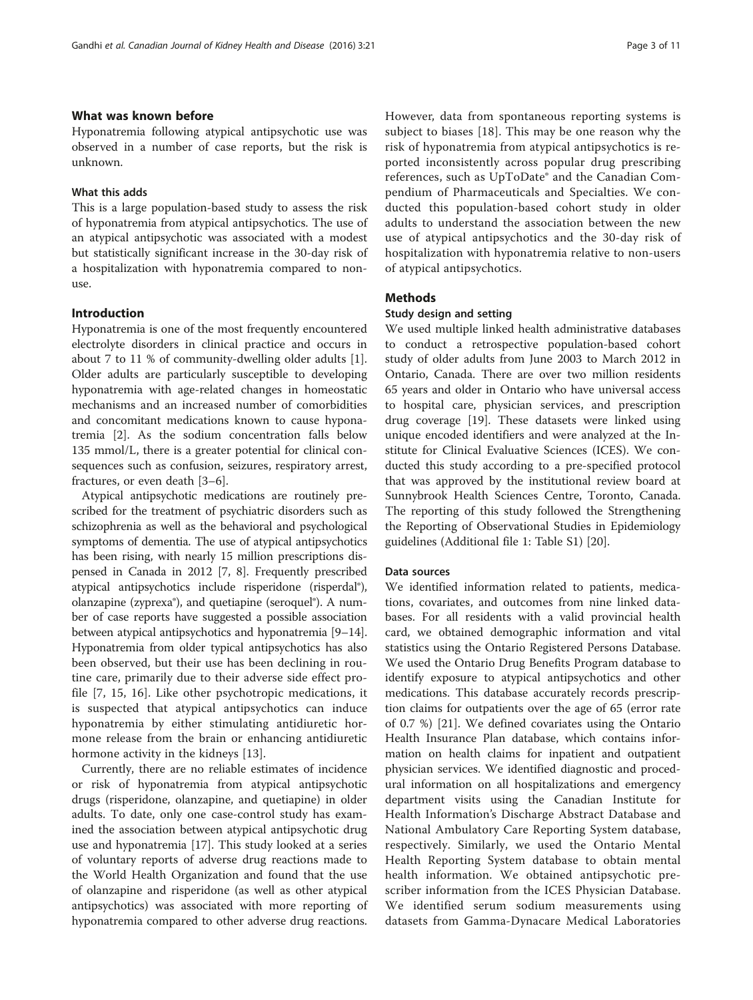## What was known before

Hyponatremia following atypical antipsychotic use was observed in a number of case reports, but the risk is unknown.

### What this adds

This is a large population-based study to assess the risk of hyponatremia from atypical antipsychotics. The use of an atypical antipsychotic was associated with a modest but statistically significant increase in the 30-day risk of a hospitalization with hyponatremia compared to nonuse.

### Introduction

Hyponatremia is one of the most frequently encountered electrolyte disorders in clinical practice and occurs in about 7 to 11 % of community-dwelling older adults [\[1](#page-9-0)]. Older adults are particularly susceptible to developing hyponatremia with age-related changes in homeostatic mechanisms and an increased number of comorbidities and concomitant medications known to cause hyponatremia [\[2](#page-9-0)]. As the sodium concentration falls below 135 mmol/L, there is a greater potential for clinical consequences such as confusion, seizures, respiratory arrest, fractures, or even death [[3](#page-9-0)–[6\]](#page-9-0).

Atypical antipsychotic medications are routinely prescribed for the treatment of psychiatric disorders such as schizophrenia as well as the behavioral and psychological symptoms of dementia. The use of atypical antipsychotics has been rising, with nearly 15 million prescriptions dispensed in Canada in 2012 [[7](#page-9-0), [8\]](#page-9-0). Frequently prescribed atypical antipsychotics include risperidone (risperdal®), olanzapine (zyprexa®), and quetiapine (seroquel®). A number of case reports have suggested a possible association between atypical antipsychotics and hyponatremia [\[9](#page-9-0)–[14](#page-9-0)]. Hyponatremia from older typical antipsychotics has also been observed, but their use has been declining in routine care, primarily due to their adverse side effect profile [[7, 15, 16\]](#page-9-0). Like other psychotropic medications, it is suspected that atypical antipsychotics can induce hyponatremia by either stimulating antidiuretic hormone release from the brain or enhancing antidiuretic hormone activity in the kidneys [[13\]](#page-9-0).

Currently, there are no reliable estimates of incidence or risk of hyponatremia from atypical antipsychotic drugs (risperidone, olanzapine, and quetiapine) in older adults. To date, only one case-control study has examined the association between atypical antipsychotic drug use and hyponatremia [\[17](#page-9-0)]. This study looked at a series of voluntary reports of adverse drug reactions made to the World Health Organization and found that the use of olanzapine and risperidone (as well as other atypical antipsychotics) was associated with more reporting of hyponatremia compared to other adverse drug reactions. However, data from spontaneous reporting systems is subject to biases [[18](#page-9-0)]. This may be one reason why the risk of hyponatremia from atypical antipsychotics is reported inconsistently across popular drug prescribing references, such as UpToDate® and the Canadian Compendium of Pharmaceuticals and Specialties. We conducted this population-based cohort study in older adults to understand the association between the new use of atypical antipsychotics and the 30-day risk of hospitalization with hyponatremia relative to non-users of atypical antipsychotics.

### **Methods**

#### Study design and setting

We used multiple linked health administrative databases to conduct a retrospective population-based cohort study of older adults from June 2003 to March 2012 in Ontario, Canada. There are over two million residents 65 years and older in Ontario who have universal access to hospital care, physician services, and prescription drug coverage [\[19](#page-9-0)]. These datasets were linked using unique encoded identifiers and were analyzed at the Institute for Clinical Evaluative Sciences (ICES). We conducted this study according to a pre-specified protocol that was approved by the institutional review board at Sunnybrook Health Sciences Centre, Toronto, Canada. The reporting of this study followed the Strengthening the Reporting of Observational Studies in Epidemiology guidelines (Additional file [1](#page-8-0): Table S1) [\[20](#page-9-0)].

#### Data sources

We identified information related to patients, medications, covariates, and outcomes from nine linked databases. For all residents with a valid provincial health card, we obtained demographic information and vital statistics using the Ontario Registered Persons Database. We used the Ontario Drug Benefits Program database to identify exposure to atypical antipsychotics and other medications. This database accurately records prescription claims for outpatients over the age of 65 (error rate of 0.7 %) [\[21](#page-9-0)]. We defined covariates using the Ontario Health Insurance Plan database, which contains information on health claims for inpatient and outpatient physician services. We identified diagnostic and procedural information on all hospitalizations and emergency department visits using the Canadian Institute for Health Information's Discharge Abstract Database and National Ambulatory Care Reporting System database, respectively. Similarly, we used the Ontario Mental Health Reporting System database to obtain mental health information. We obtained antipsychotic prescriber information from the ICES Physician Database. We identified serum sodium measurements using datasets from Gamma-Dynacare Medical Laboratories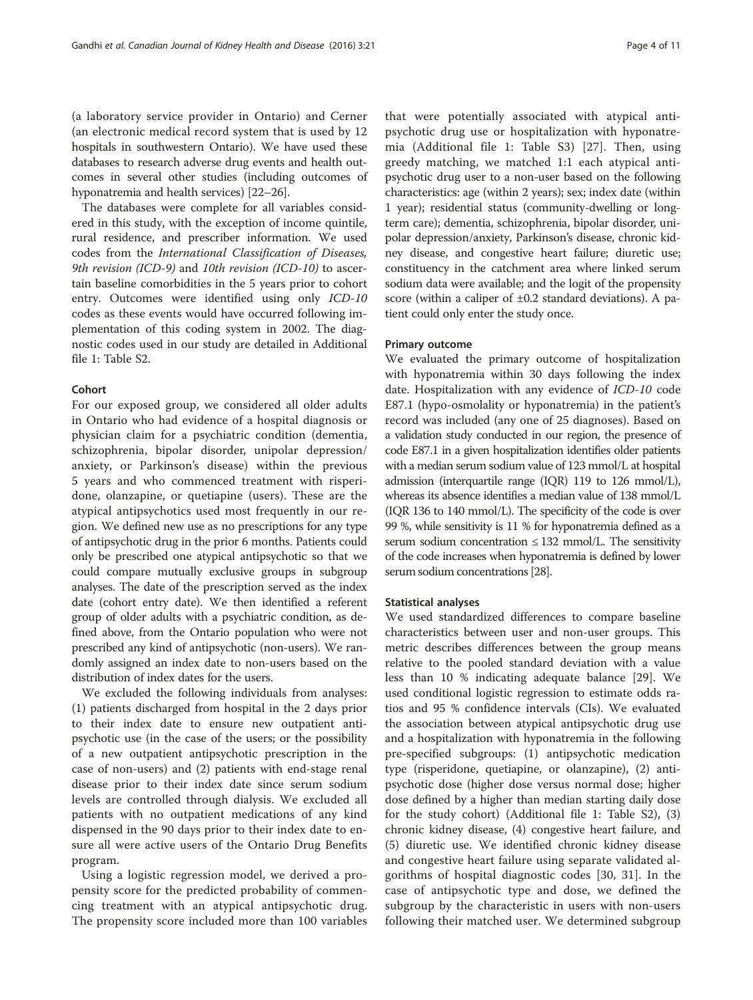(a laboratory service provider in Ontario) and Cerner (an electronic medical record system that is used by 12 hospitals in southwestern Ontario). We have used these databases to research adverse drug events and health outcomes in several other studies (including outcomes of hyponatremia and health services) [\[22](#page-9-0)–[26](#page-9-0)].

The databases were complete for all variables considered in this study, with the exception of income quintile, rural residence, and prescriber information. We used codes from the International Classification of Diseases, 9th revision (ICD-9) and 10th revision (ICD-10) to ascertain baseline comorbidities in the 5 years prior to cohort entry. Outcomes were identified using only *ICD-10* codes as these events would have occurred following implementation of this coding system in 2002. The diagnostic codes used in our study are detailed in Additional file [1:](#page-8-0) Table S2.

#### Cohort

For our exposed group, we considered all older adults in Ontario who had evidence of a hospital diagnosis or physician claim for a psychiatric condition (dementia, schizophrenia, bipolar disorder, unipolar depression/ anxiety, or Parkinson's disease) within the previous 5 years and who commenced treatment with risperidone, olanzapine, or quetiapine (users). These are the atypical antipsychotics used most frequently in our region. We defined new use as no prescriptions for any type of antipsychotic drug in the prior 6 months. Patients could only be prescribed one atypical antipsychotic so that we could compare mutually exclusive groups in subgroup analyses. The date of the prescription served as the index date (cohort entry date). We then identified a referent group of older adults with a psychiatric condition, as defined above, from the Ontario population who were not prescribed any kind of antipsychotic (non-users). We randomly assigned an index date to non-users based on the distribution of index dates for the users.

We excluded the following individuals from analyses: (1) patients discharged from hospital in the 2 days prior to their index date to ensure new outpatient antipsychotic use (in the case of the users; or the possibility of a new outpatient antipsychotic prescription in the case of non-users) and (2) patients with end-stage renal disease prior to their index date since serum sodium levels are controlled through dialysis. We excluded all patients with no outpatient medications of any kind dispensed in the 90 days prior to their index date to ensure all were active users of the Ontario Drug Benefits program.

Using a logistic regression model, we derived a propensity score for the predicted probability of commencing treatment with an atypical antipsychotic drug. The propensity score included more than 100 variables that were potentially associated with atypical antipsychotic drug use or hospitalization with hyponatremia (Additional file [1](#page-8-0): Table S3) [[27](#page-9-0)]. Then, using greedy matching, we matched 1:1 each atypical antipsychotic drug user to a non-user based on the following characteristics: age (within 2 years); sex; index date (within 1 year); residential status (community-dwelling or longterm care); dementia, schizophrenia, bipolar disorder, unipolar depression/anxiety, Parkinson's disease, chronic kidney disease, and congestive heart failure; diuretic use; constituency in the catchment area where linked serum sodium data were available; and the logit of the propensity score (within a caliper of  $\pm 0.2$  standard deviations). A patient could only enter the study once.

## Primary outcome

We evaluated the primary outcome of hospitalization with hyponatremia within 30 days following the index date. Hospitalization with any evidence of ICD-10 code E87.1 (hypo-osmolality or hyponatremia) in the patient's record was included (any one of 25 diagnoses). Based on a validation study conducted in our region, the presence of code E87.1 in a given hospitalization identifies older patients with a median serum sodium value of 123 mmol/L at hospital admission (interquartile range (IQR) 119 to 126 mmol/L), whereas its absence identifies a median value of 138 mmol/L (IQR 136 to 140 mmol/L). The specificity of the code is over 99 %, while sensitivity is 11 % for hyponatremia defined as a serum sodium concentration  $\leq 132$  mmol/L. The sensitivity of the code increases when hyponatremia is defined by lower serum sodium concentrations [[28\]](#page-9-0).

#### Statistical analyses

We used standardized differences to compare baseline characteristics between user and non-user groups. This metric describes differences between the group means relative to the pooled standard deviation with a value less than 10 % indicating adequate balance [[29](#page-9-0)]. We used conditional logistic regression to estimate odds ratios and 95 % confidence intervals (CIs). We evaluated the association between atypical antipsychotic drug use and a hospitalization with hyponatremia in the following pre-specified subgroups: (1) antipsychotic medication type (risperidone, quetiapine, or olanzapine), (2) antipsychotic dose (higher dose versus normal dose; higher dose defined by a higher than median starting daily dose for the study cohort) (Additional file [1](#page-8-0): Table S2), (3) chronic kidney disease, (4) congestive heart failure, and (5) diuretic use. We identified chronic kidney disease and congestive heart failure using separate validated algorithms of hospital diagnostic codes [\[30](#page-10-0), [31](#page-10-0)]. In the case of antipsychotic type and dose, we defined the subgroup by the characteristic in users with non-users following their matched user. We determined subgroup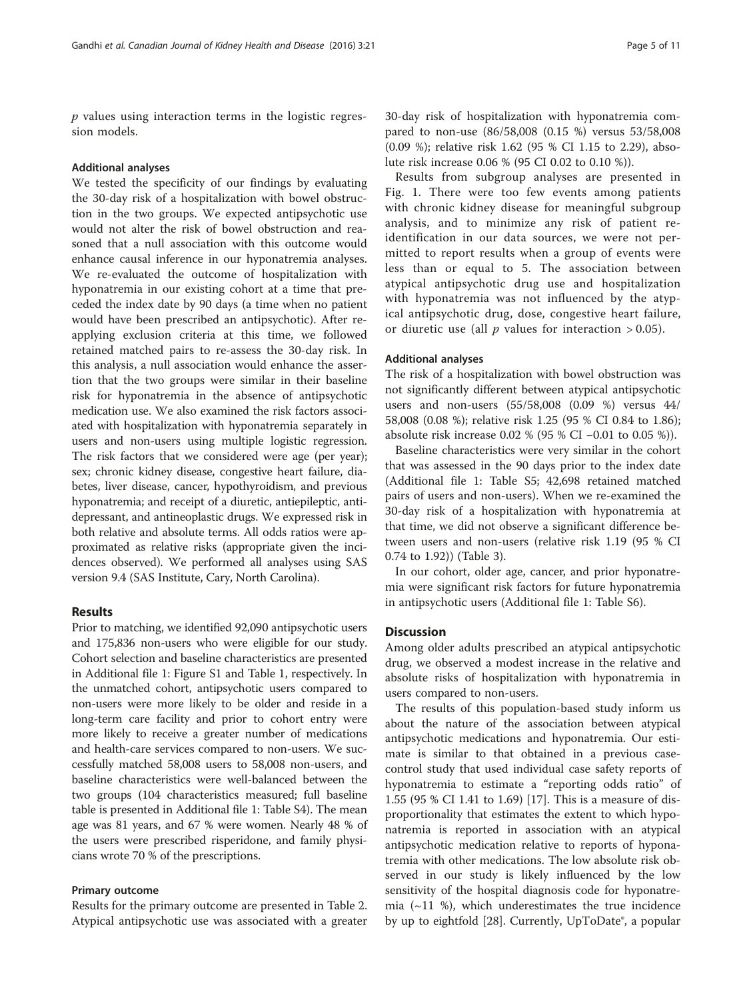$p$  values using interaction terms in the logistic regression models.

#### Additional analyses

We tested the specificity of our findings by evaluating the 30-day risk of a hospitalization with bowel obstruction in the two groups. We expected antipsychotic use would not alter the risk of bowel obstruction and reasoned that a null association with this outcome would enhance causal inference in our hyponatremia analyses. We re-evaluated the outcome of hospitalization with hyponatremia in our existing cohort at a time that preceded the index date by 90 days (a time when no patient would have been prescribed an antipsychotic). After reapplying exclusion criteria at this time, we followed retained matched pairs to re-assess the 30-day risk. In this analysis, a null association would enhance the assertion that the two groups were similar in their baseline risk for hyponatremia in the absence of antipsychotic medication use. We also examined the risk factors associated with hospitalization with hyponatremia separately in users and non-users using multiple logistic regression. The risk factors that we considered were age (per year); sex; chronic kidney disease, congestive heart failure, diabetes, liver disease, cancer, hypothyroidism, and previous hyponatremia; and receipt of a diuretic, antiepileptic, antidepressant, and antineoplastic drugs. We expressed risk in both relative and absolute terms. All odds ratios were approximated as relative risks (appropriate given the incidences observed). We performed all analyses using SAS version 9.4 (SAS Institute, Cary, North Carolina).

### Results

Prior to matching, we identified 92,090 antipsychotic users and 175,836 non-users who were eligible for our study. Cohort selection and baseline characteristics are presented in Additional file [1](#page-8-0): Figure S1 and Table [1](#page-5-0), respectively. In the unmatched cohort, antipsychotic users compared to non-users were more likely to be older and reside in a long-term care facility and prior to cohort entry were more likely to receive a greater number of medications and health-care services compared to non-users. We successfully matched 58,008 users to 58,008 non-users, and baseline characteristics were well-balanced between the two groups (104 characteristics measured; full baseline table is presented in Additional file [1](#page-8-0): Table S4). The mean age was 81 years, and 67 % were women. Nearly 48 % of the users were prescribed risperidone, and family physicians wrote 70 % of the prescriptions.

#### Primary outcome

Results for the primary outcome are presented in Table [2](#page-7-0). Atypical antipsychotic use was associated with a greater 30-day risk of hospitalization with hyponatremia compared to non-use (86/58,008 (0.15 %) versus 53/58,008 (0.09 %); relative risk 1.62 (95 % CI 1.15 to 2.29), absolute risk increase 0.06 % (95 CI 0.02 to 0.10 %)).

Results from subgroup analyses are presented in Fig. [1](#page-7-0). There were too few events among patients with chronic kidney disease for meaningful subgroup analysis, and to minimize any risk of patient reidentification in our data sources, we were not permitted to report results when a group of events were less than or equal to 5. The association between atypical antipsychotic drug use and hospitalization with hyponatremia was not influenced by the atypical antipsychotic drug, dose, congestive heart failure, or diuretic use (all  $p$  values for interaction  $> 0.05$ ).

#### Additional analyses

The risk of a hospitalization with bowel obstruction was not significantly different between atypical antipsychotic users and non-users (55/58,008 (0.09 %) versus 44/ 58,008 (0.08 %); relative risk 1.25 (95 % CI 0.84 to 1.86); absolute risk increase 0.02 % (95 % CI −0.01 to 0.05 %)).

Baseline characteristics were very similar in the cohort that was assessed in the 90 days prior to the index date (Additional file [1](#page-8-0): Table S5; 42,698 retained matched pairs of users and non-users). When we re-examined the 30-day risk of a hospitalization with hyponatremia at that time, we did not observe a significant difference between users and non-users (relative risk 1.19 (95 % CI 0.74 to 1.92)) (Table [3](#page-8-0)).

In our cohort, older age, cancer, and prior hyponatremia were significant risk factors for future hyponatremia in antipsychotic users (Additional file [1:](#page-8-0) Table S6).

#### **Discussion**

Among older adults prescribed an atypical antipsychotic drug, we observed a modest increase in the relative and absolute risks of hospitalization with hyponatremia in users compared to non-users.

The results of this population-based study inform us about the nature of the association between atypical antipsychotic medications and hyponatremia. Our estimate is similar to that obtained in a previous casecontrol study that used individual case safety reports of hyponatremia to estimate a "reporting odds ratio" of 1.55 (95 % CI 1.41 to 1.69) [[17\]](#page-9-0). This is a measure of disproportionality that estimates the extent to which hyponatremia is reported in association with an atypical antipsychotic medication relative to reports of hyponatremia with other medications. The low absolute risk observed in our study is likely influenced by the low sensitivity of the hospital diagnosis code for hyponatremia  $(\sim 11 \%)$ , which underestimates the true incidence by up to eightfold [\[28\]](#page-9-0). Currently, UpToDate<sup>®</sup>, a popular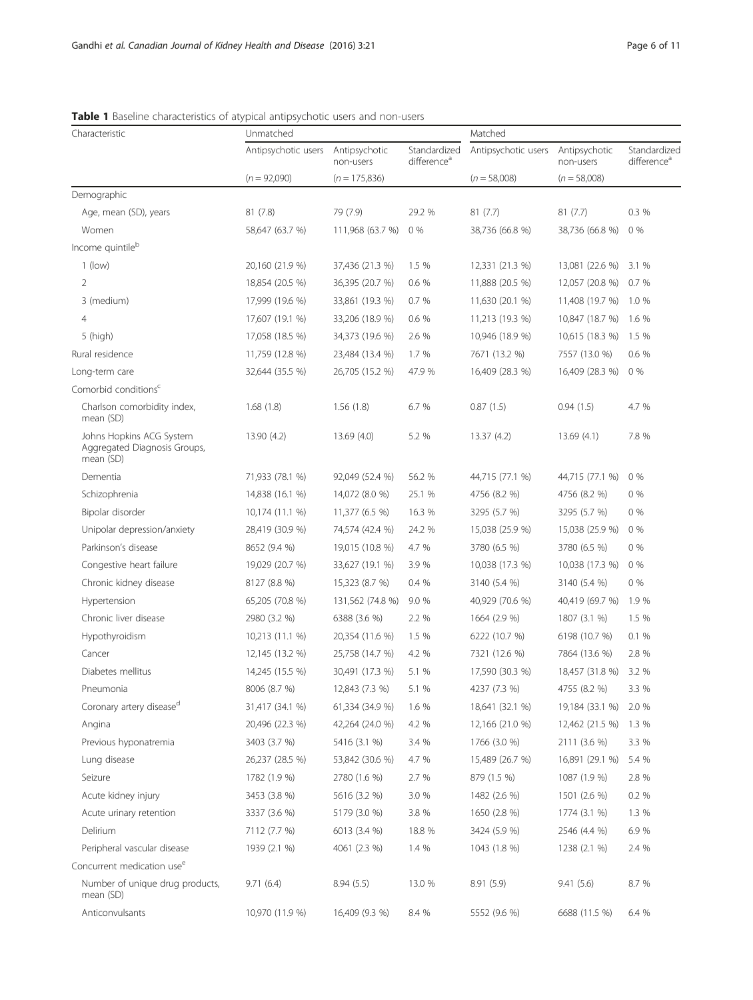| Characteristic                                                        | Unmatched           |                            |                                         | Matched             |                            |                                         |
|-----------------------------------------------------------------------|---------------------|----------------------------|-----------------------------------------|---------------------|----------------------------|-----------------------------------------|
|                                                                       | Antipsychotic users | Antipsychotic<br>non-users | Standardized<br>difference <sup>a</sup> | Antipsychotic users | Antipsychotic<br>non-users | Standardized<br>difference <sup>a</sup> |
|                                                                       | $(n = 92,090)$      | $(n = 175,836)$            |                                         | $(n = 58,008)$      | $(n = 58,008)$             |                                         |
| Demographic                                                           |                     |                            |                                         |                     |                            |                                         |
| Age, mean (SD), years                                                 | 81(7.8)             | 79 (7.9)                   | 29.2 %                                  | 81(7.7)             | 81(7.7)                    | 0.3 %                                   |
| Women                                                                 | 58,647 (63.7 %)     | 111,968 (63.7 %)           | 0%                                      | 38,736 (66.8 %)     | 38,736 (66.8 %)            | 0%                                      |
| Income quintile <sup>b</sup>                                          |                     |                            |                                         |                     |                            |                                         |
| $1$ (low)                                                             | 20,160 (21.9 %)     | 37,436 (21.3 %)            | 1.5 %                                   | 12,331 (21.3 %)     | 13,081 (22.6 %)            | 3.1 %                                   |
| $\overline{2}$                                                        | 18,854 (20.5 %)     | 36,395 (20.7 %)            | 0.6 %                                   | 11,888 (20.5 %)     | 12,057 (20.8 %)            | 0.7%                                    |
| 3 (medium)                                                            | 17,999 (19.6 %)     | 33,861 (19.3 %)            | 0.7%                                    | 11,630 (20.1 %)     | 11,408 (19.7 %) 1.0 %      |                                         |
| $\overline{4}$                                                        | 17,607 (19.1 %)     | 33,206 (18.9 %)            | 0.6 %                                   | 11,213 (19.3 %)     | 10,847 (18.7 %)            | 1.6 %                                   |
| 5 (high)                                                              | 17,058 (18.5 %)     | 34,373 (19.6 %)            | 2.6 %                                   | 10,946 (18.9 %)     | 10,615 (18.3 %)            | 1.5 %                                   |
| Rural residence                                                       | 11,759 (12.8 %)     | 23,484 (13.4 %)            | 1.7 %                                   | 7671 (13.2 %)       | 7557 (13.0 %)              | 0.6 %                                   |
| Long-term care                                                        | 32,644 (35.5 %)     | 26,705 (15.2 %)            | 47.9 %                                  | 16,409 (28.3 %)     | 16,409 (28.3 %)            | 0%                                      |
| Comorbid conditions <sup>c</sup>                                      |                     |                            |                                         |                     |                            |                                         |
| Charlson comorbidity index,<br>mean (SD)                              | 1.68(1.8)           | 1.56(1.8)                  | 6.7 %                                   | 0.87(1.5)           | 0.94(1.5)                  | 4.7 %                                   |
| Johns Hopkins ACG System<br>Aggregated Diagnosis Groups,<br>mean (SD) | 13.90 (4.2)         | 13.69 (4.0)                | 5.2 %                                   | 13.37 (4.2)         | 13.69(4.1)                 | 7.8 %                                   |
| Dementia                                                              | 71,933 (78.1 %)     | 92,049 (52.4 %)            | 56.2 %                                  | 44,715 (77.1 %)     | 44,715 (77.1 %)            | 0%                                      |
| Schizophrenia                                                         | 14,838 (16.1 %)     | 14,072 (8.0 %)             | 25.1 %                                  | 4756 (8.2 %)        | 4756 (8.2 %)               | 0%                                      |
| Bipolar disorder                                                      | 10,174 (11.1 %)     | 11,377 (6.5 %)             | 16.3 %                                  | 3295 (5.7 %)        | 3295 (5.7 %)               | 0%                                      |
| Unipolar depression/anxiety                                           | 28,419 (30.9 %)     | 74,574 (42.4 %)            | 24.2 %                                  | 15,038 (25.9 %)     | 15,038 (25.9 %)            | 0%                                      |
| Parkinson's disease                                                   | 8652 (9.4 %)        | 19,015 (10.8 %)            | 4.7 %                                   | 3780 (6.5 %)        | 3780 (6.5 %)               | 0%                                      |
| Congestive heart failure                                              | 19,029 (20.7 %)     | 33,627 (19.1 %)            | 3.9 %                                   | 10,038 (17.3 %)     | 10,038 (17.3 %)            | 0%                                      |
| Chronic kidney disease                                                | 8127 (8.8 %)        | 15,323 (8.7 %)             | 0.4 %                                   | 3140 (5.4 %)        | 3140 (5.4 %)               | 0%                                      |
| Hypertension                                                          | 65,205 (70.8 %)     | 131,562 (74.8 %)           | 9.0 %                                   | 40,929 (70.6 %)     | 40,419 (69.7 %)            | 1.9 %                                   |
| Chronic liver disease                                                 | 2980 (3.2 %)        | 6388 (3.6 %)               | 2.2 %                                   | 1664 (2.9 %)        | 1807 (3.1 %)               | 1.5 %                                   |
| Hypothyroidism                                                        | 10,213 (11.1 %)     | 20,354 (11.6 %)            | 1.5 %                                   | 6222 (10.7 %)       | 6198 (10.7 %)              | 0.1%                                    |
| Cancer                                                                | 12,145 (13.2 %)     | 25,758 (14.7 %)            | 4.2 %                                   | 7321 (12.6 %)       | 7864 (13.6 %)              | 2.8 %                                   |
| Diabetes mellitus                                                     | 14,245 (15.5 %)     | 30,491 (17.3 %)            | 5.1 %                                   | 17,590 (30.3 %)     | 18,457 (31.8 %)            | 3.2 %                                   |
| Pneumonia                                                             | 8006 (8.7 %)        | 12.843 (7.3 %)             | 5.1 %                                   | 4237 (7.3 %)        | 4755 (8.2 %)               | 3.3 %                                   |
| Coronary artery disease <sup>d</sup>                                  | 31,417 (34.1 %)     | 61,334 (34.9 %)            | 1.6 %                                   | 18,641 (32.1 %)     | 19,184 (33.1 %) 2.0 %      |                                         |
| Angina                                                                | 20,496 (22.3 %)     | 42,264 (24.0 %)            | 4.2 %                                   | 12,166 (21.0 %)     | 12,462 (21.5 %) 1.3 %      |                                         |
| Previous hyponatremia                                                 | 3403 (3.7 %)        | 5416 (3.1 %)               | 3.4 %                                   | 1766 (3.0 %)        | 2111 (3.6 %)               | 3.3 %                                   |
| Lung disease                                                          | 26,237 (28.5 %)     | 53,842 (30.6 %)            | 4.7 %                                   | 15,489 (26.7 %)     | 16,891 (29.1 %)            | 5.4 %                                   |
| Seizure                                                               | 1782 (1.9 %)        | 2780 (1.6 %)               | 2.7 %                                   | 879 (1.5 %)         | 1087 (1.9 %)               | 2.8 %                                   |
| Acute kidney injury                                                   | 3453 (3.8 %)        | 5616 (3.2 %)               | 3.0 %                                   | 1482 (2.6 %)        | 1501 (2.6 %)               | 0.2%                                    |
| Acute urinary retention                                               | 3337 (3.6 %)        | 5179 (3.0 %)               | 3.8 %                                   | 1650 (2.8 %)        | 1774 (3.1 %)               | 1.3 %                                   |
| Delirium                                                              | 7112 (7.7 %)        | 6013 (3.4 %)               | 18.8 %                                  | 3424 (5.9 %)        | 2546 (4.4 %)               | 6.9%                                    |
| Peripheral vascular disease                                           | 1939 (2.1 %)        | 4061 (2.3 %)               | 1.4%                                    | 1043 (1.8 %)        | 1238 (2.1 %)               | 2.4 %                                   |
| Concurrent medication use <sup>e</sup>                                |                     |                            |                                         |                     |                            |                                         |
| Number of unique drug products,<br>mean (SD)                          | 9.71(6.4)           | 8.94(5.5)                  | 13.0 %                                  | 8.91(5.9)           | 9.41(5.6)                  | 8.7 %                                   |
| Anticonvulsants                                                       | 10,970 (11.9 %)     | 16,409 (9.3 %)             | 8.4 %                                   | 5552 (9.6 %)        | 6688 (11.5 %)              | 6.4 %                                   |
|                                                                       |                     |                            |                                         |                     |                            |                                         |

<span id="page-5-0"></span>Table 1 Baseline characteristics of atypical antipsychotic users and non-users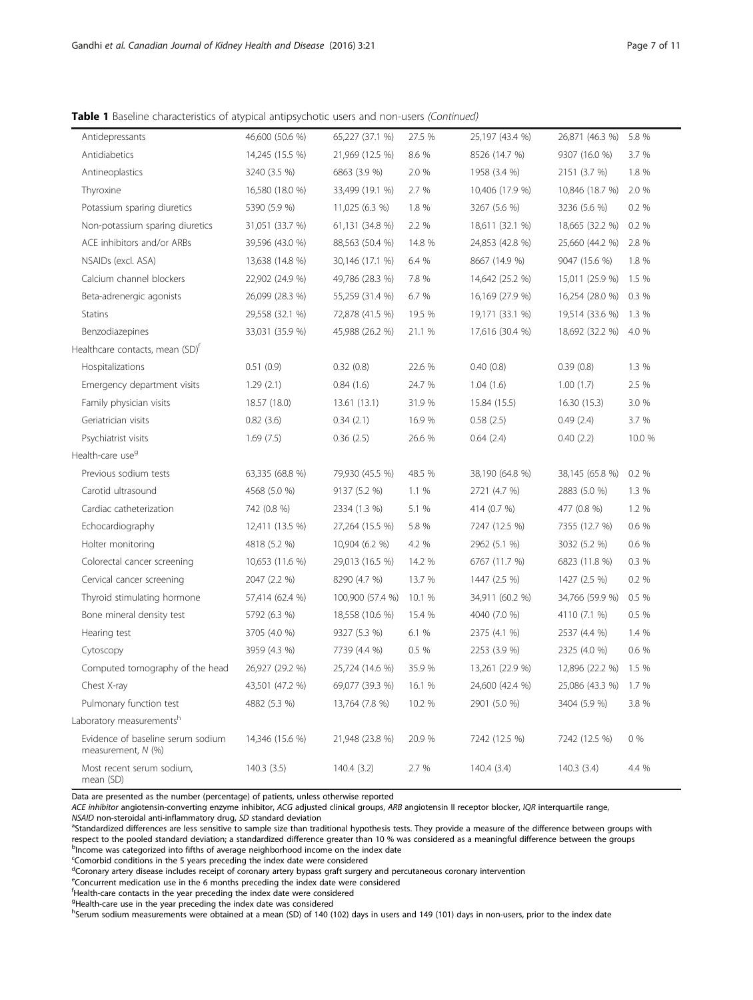Table 1 Baseline characteristics of atypical antipsychotic users and non-users (Continued)

| Antidepressants                                           | 46,600 (50.6 %) | 65,227 (37.1 %)  | 27.5 % | 25,197 (43.4 %) | 26,871 (46.3 %)       | 5.8 %  |
|-----------------------------------------------------------|-----------------|------------------|--------|-----------------|-----------------------|--------|
| Antidiabetics                                             | 14,245 (15.5 %) | 21,969 (12.5 %)  | 8.6 %  | 8526 (14.7 %)   | 9307 (16.0 %)         | 3.7 %  |
| Antineoplastics                                           | 3240 (3.5 %)    | 6863 (3.9 %)     | 2.0 %  | 1958 (3.4 %)    | 2151 (3.7 %)          | 1.8 %  |
| Thyroxine                                                 | 16,580 (18.0 %) | 33,499 (19.1 %)  | 2.7 %  | 10,406 (17.9 %) | 10,846 (18.7 %)       | 2.0 %  |
| Potassium sparing diuretics                               | 5390 (5.9 %)    | 11,025 (6.3 %)   | 1.8 %  | 3267 (5.6 %)    | 3236 (5.6 %)          | 0.2 %  |
| Non-potassium sparing diuretics                           | 31,051 (33.7 %) | 61,131 (34.8 %)  | 2.2 %  | 18,611 (32.1 %) | 18,665 (32.2 %)       | 0.2%   |
| ACE inhibitors and/or ARBs                                | 39,596 (43.0 %) | 88,563 (50.4 %)  | 14.8 % | 24,853 (42.8 %) | 25,660 (44.2 %) 2.8 % |        |
| NSAIDs (excl. ASA)                                        | 13,638 (14.8 %) | 30,146 (17.1 %)  | 6.4 %  | 8667 (14.9 %)   | 9047 (15.6 %)         | 1.8 %  |
| Calcium channel blockers                                  | 22,902 (24.9 %) | 49,786 (28.3 %)  | 7.8 %  | 14,642 (25.2 %) | 15,011 (25.9 %)       | 1.5 %  |
| Beta-adrenergic agonists                                  | 26,099 (28.3 %) | 55,259 (31.4 %)  | 6.7 %  | 16,169 (27.9 %) | 16,254 (28.0 %)       | 0.3 %  |
| <b>Statins</b>                                            | 29,558 (32.1 %) | 72,878 (41.5 %)  | 19.5 % | 19,171 (33.1 %) | 19,514 (33.6 %)       | 1.3 %  |
| Benzodiazepines                                           | 33,031 (35.9 %) | 45,988 (26.2 %)  | 21.1 % | 17,616 (30.4 %) | 18,692 (32.2 %)       | 4.0 %  |
| Healthcare contacts, mean (SD) <sup>t</sup>               |                 |                  |        |                 |                       |        |
| Hospitalizations                                          | 0.51(0.9)       | 0.32(0.8)        | 22.6 % | 0.40(0.8)       | 0.39(0.8)             | 1.3 %  |
| Emergency department visits                               | 1.29(2.1)       | 0.84(1.6)        | 24.7 % | 1.04(1.6)       | 1.00(1.7)             | 2.5 %  |
| Family physician visits                                   | 18.57 (18.0)    | 13.61(13.1)      | 31.9%  | 15.84 (15.5)    | 16.30 (15.3)          | 3.0 %  |
| Geriatrician visits                                       | 0.82(3.6)       | 0.34(2.1)        | 16.9%  | 0.58(2.5)       | 0.49(2.4)             | 3.7 %  |
| Psychiatrist visits                                       | 1.69(7.5)       | 0.36(2.5)        | 26.6 % | 0.64(2.4)       | 0.40(2.2)             | 10.0 % |
| Health-care use <sup>9</sup>                              |                 |                  |        |                 |                       |        |
| Previous sodium tests                                     | 63,335 (68.8 %) | 79,930 (45.5 %)  | 48.5 % | 38,190 (64.8 %) | 38,145 (65.8 %)       | 0.2%   |
| Carotid ultrasound                                        | 4568 (5.0 %)    | 9137 (5.2 %)     | 1.1 %  | 2721 (4.7 %)    | 2883 (5.0 %)          | 1.3 %  |
| Cardiac catheterization                                   | 742 (0.8 %)     | 2334 (1.3 %)     | 5.1 %  | 414 (0.7 %)     | 477 (0.8 %)           | 1.2 %  |
| Echocardiography                                          | 12,411 (13.5 %) | 27,264 (15.5 %)  | 5.8 %  | 7247 (12.5 %)   | 7355 (12.7 %)         | 0.6 %  |
| Holter monitoring                                         | 4818 (5.2 %)    | 10,904 (6.2 %)   | 4.2 %  | 2962 (5.1 %)    | 3032 (5.2 %)          | 0.6 %  |
| Colorectal cancer screening                               | 10,653 (11.6 %) | 29,013 (16.5 %)  | 14.2 % | 6767 (11.7 %)   | 6823 (11.8 %)         | 0.3%   |
| Cervical cancer screening                                 | 2047 (2.2 %)    | 8290 (4.7 %)     | 13.7 % | 1447 (2.5 %)    | 1427 (2.5 %)          | 0.2%   |
| Thyroid stimulating hormone                               | 57,414 (62.4 %) | 100,900 (57.4 %) | 10.1 % | 34,911 (60.2 %) | 34,766 (59.9 %)       | 0.5 %  |
| Bone mineral density test                                 | 5792 (6.3 %)    | 18,558 (10.6 %)  | 15.4 % | 4040 (7.0 %)    | 4110 (7.1 %)          | 0.5 %  |
| Hearing test                                              | 3705 (4.0 %)    | 9327 (5.3 %)     | 6.1 %  | 2375 (4.1 %)    | 2537 (4.4 %)          | 1.4 %  |
| Cytoscopy                                                 | 3959 (4.3 %)    | 7739 (4.4 %)     | 0.5 %  | 2253 (3.9 %)    | 2325 (4.0 %)          | 0.6 %  |
| Computed tomography of the head                           | 26,927 (29.2 %) | 25,724 (14.6 %)  | 35.9 % | 13,261 (22.9 %) | 12,896 (22.2 %)       | 1.5%   |
| Chest X-ray                                               | 43,501 (47.2 %) | 69,077 (39.3 %)  | 16.1 % | 24,600 (42.4 %) | 25,086 (43.3 %)       | 1.7 %  |
| Pulmonary function test                                   | 4882 (5.3 %)    | 13,764 (7.8 %)   | 10.2 % | 2901 (5.0 %)    | 3404 (5.9 %)          | 3.8 %  |
| Laboratory measurementsh                                  |                 |                  |        |                 |                       |        |
| Evidence of baseline serum sodium<br>measurement, $N$ (%) | 14,346 (15.6 %) | 21,948 (23.8 %)  | 20.9 % | 7242 (12.5 %)   | 7242 (12.5 %)         | 0%     |
| Most recent serum sodium,<br>mean (SD)                    | 140.3(3.5)      | 140.4(3.2)       | 2.7 %  | 140.4(3.4)      | 140.3(3.4)            | 4.4 %  |

Data are presented as the number (percentage) of patients, unless otherwise reported

ACE inhibitor angiotensin-converting enzyme inhibitor, ACG adjusted clinical groups, ARB angiotensin II receptor blocker, IQR interquartile range,

NSAID non-steroidal anti-inflammatory drug, SD standard deviation <sup>a</sup>

aStandardized differences are less sensitive to sample size than traditional hypothesis tests. They provide a measure of the difference between groups with respect to the pooled standard deviation; a standardized difference greater than 10 % was considered as a meaningful difference between the groups <sup>b</sup>Income was categorized into fifths of average neighborhood income on the index date

<sup>c</sup>Comorbid conditions in the 5 years preceding the index date were considered

<sup>d</sup>Coronary artery disease includes receipt of coronary artery bypass graft surgery and percutaneous coronary intervention

eConcurrent medication use in the 6 months preceding the index date were considered

<sup>f</sup>Health-care contacts in the year preceding the index date were considered

<sup>g</sup>Health-care use in the year preceding the index date was considered

h<br>Serum sodium measurements were obtained at a mean (SD) of 140 (102) days in users and 149 (101) days in non-users, prior to the index date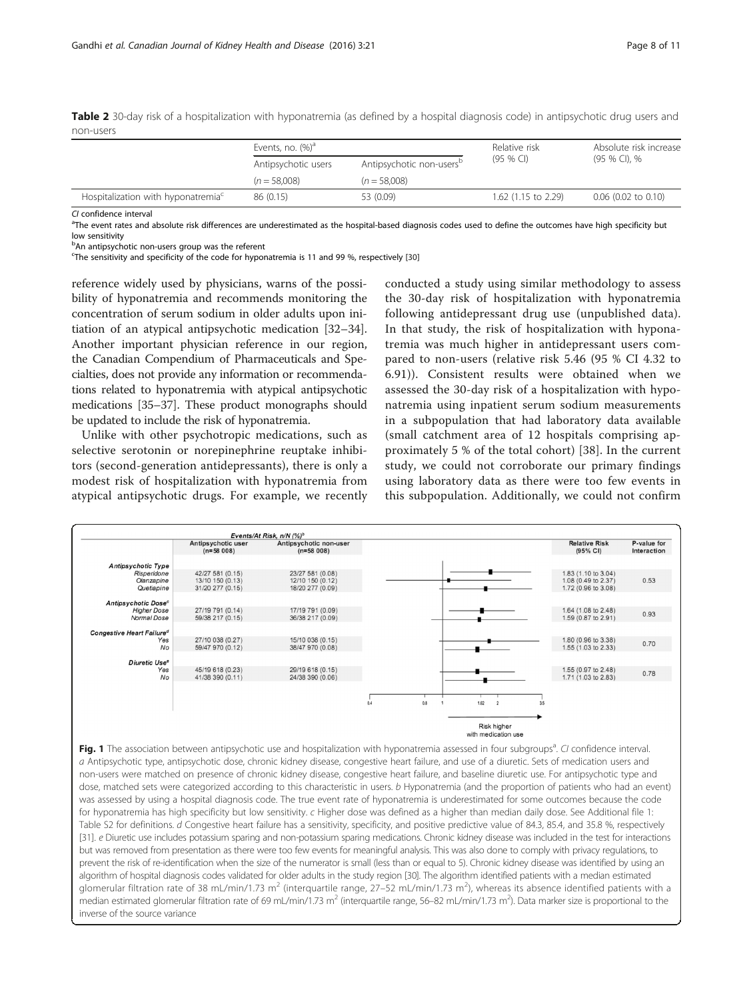|                                                | Events, no. $(\%)^a$ |                                      | Relative risk       | Absolute risk increase |  |
|------------------------------------------------|----------------------|--------------------------------------|---------------------|------------------------|--|
|                                                | Antipsychotic users  | Antipsychotic non-users <sup>p</sup> | $(95%$ CI)          | (95 % CI), %           |  |
|                                                | $(n = 58.008)$       | $(n = 58.008)$                       |                     |                        |  |
| Hospitalization with hyponatremia <sup>c</sup> | 86 (0.15)            | 53 (0.09)                            | 1.62 (1.15 to 2.29) | $0.06$ (0.02 to 0.10)  |  |

<span id="page-7-0"></span>Table 2 30-day risk of a hospitalization with hyponatremia (as defined by a hospital diagnosis code) in antipsychotic drug users and non-users

CI confidence interval

<sup>a</sup>The event rates and absolute risk differences are underestimated as the hospital-based diagnosis codes used to define the outcomes have high specificity but low sensitivity

<sup>b</sup>An antipsychotic non-users group was the referent

<sup>c</sup>The sensitivity and specificity of the code for hyponatremia is 11 and 99 %, respectively [[30](#page-10-0)]

reference widely used by physicians, warns of the possibility of hyponatremia and recommends monitoring the concentration of serum sodium in older adults upon initiation of an atypical antipsychotic medication [[32](#page-10-0)–[34](#page-10-0)]. Another important physician reference in our region, the Canadian Compendium of Pharmaceuticals and Specialties, does not provide any information or recommendations related to hyponatremia with atypical antipsychotic medications [\[35](#page-10-0)–[37\]](#page-10-0). These product monographs should be updated to include the risk of hyponatremia.

Unlike with other psychotropic medications, such as selective serotonin or norepinephrine reuptake inhibitors (second-generation antidepressants), there is only a modest risk of hospitalization with hyponatremia from atypical antipsychotic drugs. For example, we recently

conducted a study using similar methodology to assess the 30-day risk of hospitalization with hyponatremia following antidepressant drug use (unpublished data). In that study, the risk of hospitalization with hyponatremia was much higher in antidepressant users compared to non-users (relative risk 5.46 (95 % CI 4.32 to 6.91)). Consistent results were obtained when we assessed the 30-day risk of a hospitalization with hyponatremia using inpatient serum sodium measurements in a subpopulation that had laboratory data available (small catchment area of 12 hospitals comprising approximately 5 % of the total cohort) [\[38](#page-10-0)]. In the current study, we could not corroborate our primary findings using laboratory data as there were too few events in this subpopulation. Additionally, we could not confirm



Fig. 1 The association between antipsychotic use and hospitalization with hyponatremia assessed in four subgroups<sup>a</sup>. Cl confidence interval a Antipsychotic type, antipsychotic dose, chronic kidney disease, congestive heart failure, and use of a diuretic. Sets of medication users and non-users were matched on presence of chronic kidney disease, congestive heart failure, and baseline diuretic use. For antipsychotic type and dose, matched sets were categorized according to this characteristic in users. b Hyponatremia (and the proportion of patients who had an event) was assessed by using a hospital diagnosis code. The true event rate of hyponatremia is underestimated for some outcomes because the code for hyponatremia has high specificity but low sensitivity. c Higher dose was defined as a higher than median daily dose. See Additional file [1:](#page-8-0) Table S2 for definitions. d Congestive heart failure has a sensitivity, specificity, and positive predictive value of 84.3, 85.4, and 35.8 %, respectively [[31](#page-10-0)]. e Diuretic use includes potassium sparing and non-potassium sparing medications. Chronic kidney disease was included in the test for interactions but was removed from presentation as there were too few events for meaningful analysis. This was also done to comply with privacy regulations, to prevent the risk of re-identification when the size of the numerator is small (less than or equal to 5). Chronic kidney disease was identified by using an algorithm of hospital diagnosis codes validated for older adults in the study region [\[30](#page-10-0)]. The algorithm identified patients with a median estimated glomerular filtration rate of 38 mL/min/1.73 m<sup>2</sup> (interquartile range, 27–52 mL/min/1.73 m<sup>2</sup>), whereas its absence identified patients with a median estimated glomerular filtration rate of 69 mL/min/1.73 m<sup>2</sup> (interquartile range, 56–82 mL/min/1.73 m<sup>2</sup>). Data marker size is proportional to the inverse of the source variance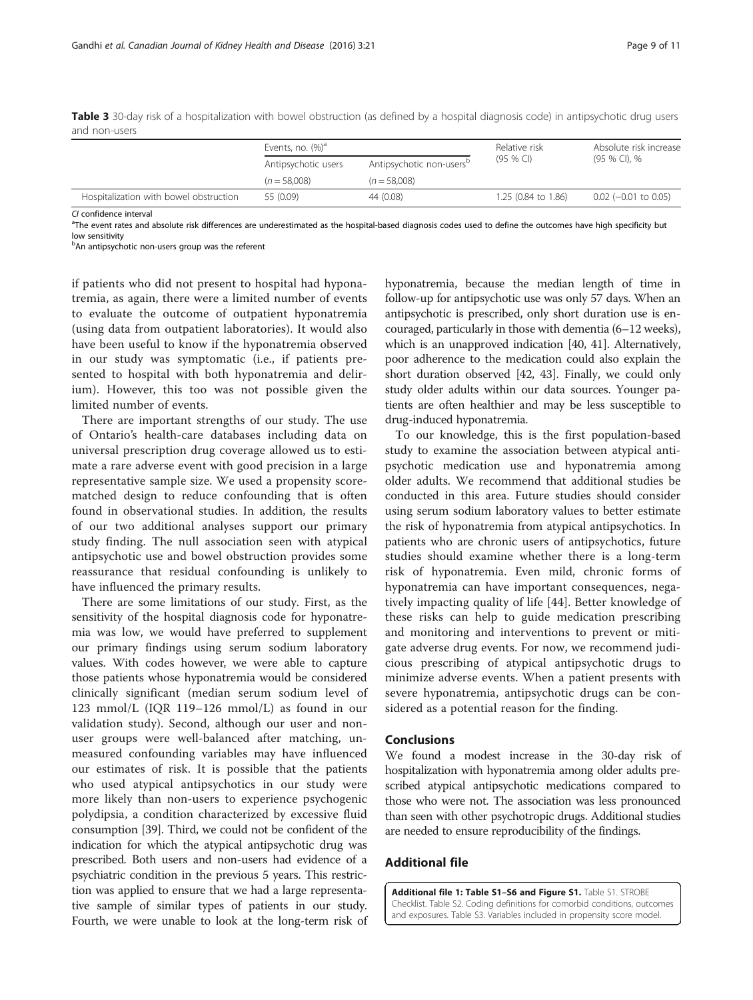|                                        | Events, no. $(\%)^a$ |                                      | Relative risk       | Absolute risk increase<br>(95 % CI), % |  |
|----------------------------------------|----------------------|--------------------------------------|---------------------|----------------------------------------|--|
|                                        | Antipsychotic users  | Antipsychotic non-users <sup>p</sup> | $(95%$ CI)          |                                        |  |
|                                        | $(n = 58.008)$       | $(n = 58.008)$                       |                     |                                        |  |
| Hospitalization with bowel obstruction | 55 (0.09)            | 44 (0.08)                            | 1.25 (0.84 to 1.86) | $0.02$ (-0.01 to 0.05)                 |  |

<span id="page-8-0"></span>Table 3 30-day risk of a hospitalization with bowel obstruction (as defined by a hospital diagnosis code) in antipsychotic drug users and non-users

CI confidence interval

<sup>a</sup>The event rates and absolute risk differences are underestimated as the hospital-based diagnosis codes used to define the outcomes have high specificity but low sensitivity

<sup>b</sup>An antipsychotic non-users group was the referent

if patients who did not present to hospital had hyponatremia, as again, there were a limited number of events to evaluate the outcome of outpatient hyponatremia (using data from outpatient laboratories). It would also have been useful to know if the hyponatremia observed in our study was symptomatic (i.e., if patients presented to hospital with both hyponatremia and delirium). However, this too was not possible given the limited number of events.

There are important strengths of our study. The use of Ontario's health-care databases including data on universal prescription drug coverage allowed us to estimate a rare adverse event with good precision in a large representative sample size. We used a propensity scorematched design to reduce confounding that is often found in observational studies. In addition, the results of our two additional analyses support our primary study finding. The null association seen with atypical antipsychotic use and bowel obstruction provides some reassurance that residual confounding is unlikely to have influenced the primary results.

There are some limitations of our study. First, as the sensitivity of the hospital diagnosis code for hyponatremia was low, we would have preferred to supplement our primary findings using serum sodium laboratory values. With codes however, we were able to capture those patients whose hyponatremia would be considered clinically significant (median serum sodium level of 123 mmol/L (IQR 119–126 mmol/L) as found in our validation study). Second, although our user and nonuser groups were well-balanced after matching, unmeasured confounding variables may have influenced our estimates of risk. It is possible that the patients who used atypical antipsychotics in our study were more likely than non-users to experience psychogenic polydipsia, a condition characterized by excessive fluid consumption [\[39\]](#page-10-0). Third, we could not be confident of the indication for which the atypical antipsychotic drug was prescribed. Both users and non-users had evidence of a psychiatric condition in the previous 5 years. This restriction was applied to ensure that we had a large representative sample of similar types of patients in our study. Fourth, we were unable to look at the long-term risk of hyponatremia, because the median length of time in follow-up for antipsychotic use was only 57 days. When an antipsychotic is prescribed, only short duration use is encouraged, particularly in those with dementia (6–12 weeks), which is an unapproved indication [\[40, 41](#page-10-0)]. Alternatively, poor adherence to the medication could also explain the short duration observed [\[42, 43](#page-10-0)]. Finally, we could only study older adults within our data sources. Younger patients are often healthier and may be less susceptible to drug-induced hyponatremia.

To our knowledge, this is the first population-based study to examine the association between atypical antipsychotic medication use and hyponatremia among older adults. We recommend that additional studies be conducted in this area. Future studies should consider using serum sodium laboratory values to better estimate the risk of hyponatremia from atypical antipsychotics. In patients who are chronic users of antipsychotics, future studies should examine whether there is a long-term risk of hyponatremia. Even mild, chronic forms of hyponatremia can have important consequences, negatively impacting quality of life [\[44](#page-10-0)]. Better knowledge of these risks can help to guide medication prescribing and monitoring and interventions to prevent or mitigate adverse drug events. For now, we recommend judicious prescribing of atypical antipsychotic drugs to minimize adverse events. When a patient presents with severe hyponatremia, antipsychotic drugs can be considered as a potential reason for the finding.

#### **Conclusions**

We found a modest increase in the 30-day risk of hospitalization with hyponatremia among older adults prescribed atypical antipsychotic medications compared to those who were not. The association was less pronounced than seen with other psychotropic drugs. Additional studies are needed to ensure reproducibility of the findings.

## Additional file

[Additional file 1: Table S1](dx.doi.org/10.1186/s40697-016-0111-z)-S6 and Figure S1. Table S1. STROBE Checklist. Table S2. Coding definitions for comorbid conditions, outcomes and exposures. Table S3. Variables included in propensity score model.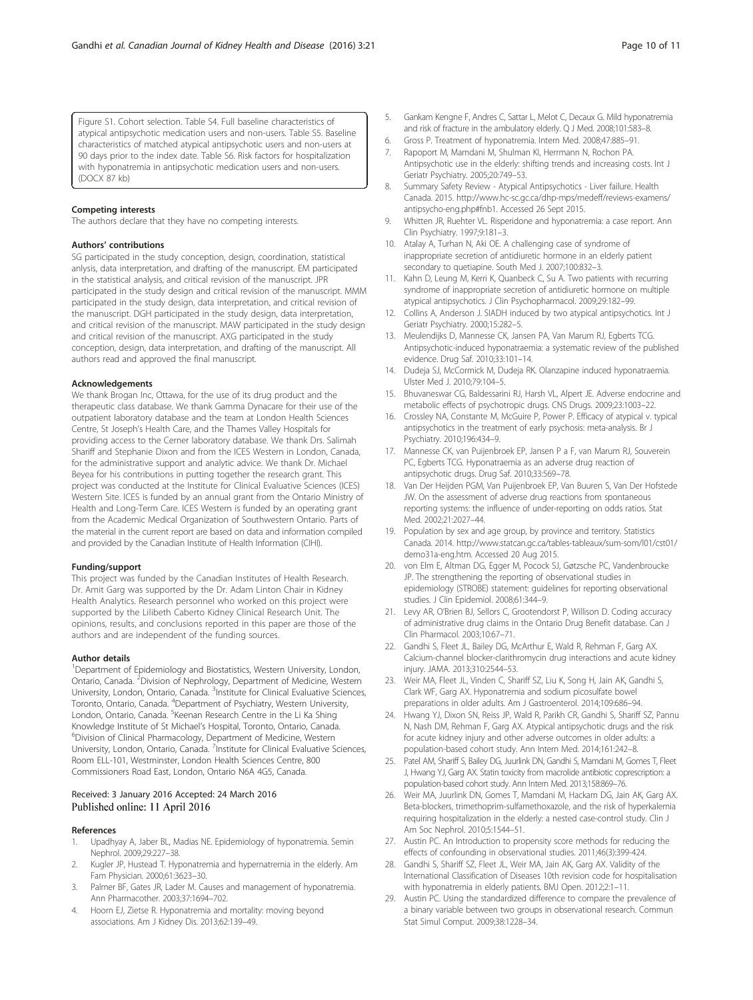<span id="page-9-0"></span>Figure S1. Cohort selection. Table S4. Full baseline characteristics of atypical antipsychotic medication users and non-users. Table S5. Baseline characteristics of matched atypical antipsychotic users and non-users at 90 days prior to the index date. Table S6. Risk factors for hospitalization with hyponatremia in antipsychotic medication users and non-users. (DOCX 87 kb)

#### Competing interests

The authors declare that they have no competing interests.

#### Authors' contributions

SG participated in the study conception, design, coordination, statistical anlysis, data interpretation, and drafting of the manuscript. EM participated in the statistical analysis, and critical revision of the manuscript. JPR participated in the study design and critical revision of the manuscript. MMM participated in the study design, data interpretation, and critical revision of the manuscript. DGH participated in the study design, data interpretation, and critical revision of the manuscript. MAW participated in the study design and critical revision of the manuscript. AXG participated in the study conception, design, data interpretation, and drafting of the manuscript. All authors read and approved the final manuscript.

#### Acknowledgements

We thank Brogan Inc, Ottawa, for the use of its drug product and the therapeutic class database. We thank Gamma Dynacare for their use of the outpatient laboratory database and the team at London Health Sciences Centre, St Joseph's Health Care, and the Thames Valley Hospitals for providing access to the Cerner laboratory database. We thank Drs. Salimah Shariff and Stephanie Dixon and from the ICES Western in London, Canada, for the administrative support and analytic advice. We thank Dr. Michael Beyea for his contributions in putting together the research grant. This project was conducted at the Institute for Clinical Evaluative Sciences (ICES) Western Site. ICES is funded by an annual grant from the Ontario Ministry of Health and Long-Term Care. ICES Western is funded by an operating grant from the Academic Medical Organization of Southwestern Ontario. Parts of the material in the current report are based on data and information compiled and provided by the Canadian Institute of Health Information (CIHI).

#### Funding/support

This project was funded by the Canadian Institutes of Health Research. Dr. Amit Garg was supported by the Dr. Adam Linton Chair in Kidney Health Analytics. Research personnel who worked on this project were supported by the Lilibeth Caberto Kidney Clinical Research Unit. The opinions, results, and conclusions reported in this paper are those of the authors and are independent of the funding sources.

#### Author details

<sup>1</sup>Department of Epidemiology and Biostatistics, Western University, London, Ontario, Canada. <sup>2</sup> Division of Nephrology, Department of Medicine, Western University, London, Ontario, Canada. <sup>3</sup>Institute for Clinical Evaluative Sciences, Toronto, Ontario, Canada. <sup>4</sup>Department of Psychiatry, Western University, London, Ontario, Canada. <sup>5</sup>Keenan Research Centre in the Li Ka Shing Knowledge Institute of St Michael's Hospital, Toronto, Ontario, Canada. <sup>6</sup> Division of Clinical Pharmacology, Department of Medicine, Western University, London, Ontario, Canada. <sup>7</sup>Institute for Clinical Evaluative Sciences, Room ELL-101, Westminster, London Health Sciences Centre, 800 Commissioners Road East, London, Ontario N6A 4G5, Canada.

#### Received: 3 January 2016 Accepted: 24 March 2016 Published online: 11 April 2016

#### References

- 1. Upadhyay A, Jaber BL, Madias NE. Epidemiology of hyponatremia. Semin Nephrol. 2009;29:227–38.
- 2. Kugler JP, Hustead T. Hyponatremia and hypernatremia in the elderly. Am Fam Physician. 2000;61:3623–30.
- 3. Palmer BF, Gates JR, Lader M. Causes and management of hyponatremia. Ann Pharmacother. 2003;37:1694–702.
- 4. Hoorn EJ, Zietse R. Hyponatremia and mortality: moving beyond associations. Am J Kidney Dis. 2013;62:139–49.
- 5. Gankam Kengne F, Andres C, Sattar L, Melot C, Decaux G. Mild hyponatremia and risk of fracture in the ambulatory elderly. Q J Med. 2008;101:583–8.
- 6. Gross P. Treatment of hyponatremia. Intern Med. 2008;47:885–91.
- 7. Rapoport M, Mamdani M, Shulman KI, Herrmann N, Rochon PA. Antipsychotic use in the elderly: shifting trends and increasing costs. Int J Geriatr Psychiatry. 2005;20:749–53.
- 8. Summary Safety Review Atypical Antipsychotics Liver failure. Health Canada. 2015. [http://www.hc-sc.gc.ca/dhp-mps/medeff/reviews-examens/](http://www.hc-sc.gc.ca/dhp-mps/medeff/reviews-examens/antipsycho-eng.php#fnb1) [antipsycho-eng.php#fnb1.](http://www.hc-sc.gc.ca/dhp-mps/medeff/reviews-examens/antipsycho-eng.php#fnb1) Accessed 26 Sept 2015.
- 9. Whitten JR, Ruehter VL. Risperidone and hyponatremia: a case report. Ann Clin Psychiatry. 1997;9:181–3.
- 10. Atalay A, Turhan N, Aki OE. A challenging case of syndrome of inappropriate secretion of antidiuretic hormone in an elderly patient secondary to quetiapine. South Med J. 2007;100:832–3.
- 11. Kahn D, Leung M, Kerri K, Quanbeck C, Su A. Two patients with recurring syndrome of inappropriate secretion of antidiuretic hormone on multiple atypical antipsychotics. J Clin Psychopharmacol. 2009;29:182–99.
- 12. Collins A, Anderson J. SIADH induced by two atypical antipsychotics. Int J Geriatr Psychiatry. 2000;15:282–5.
- 13. Meulendijks D, Mannesse CK, Jansen PA, Van Marum RJ, Egberts TCG. Antipsychotic-induced hyponatraemia: a systematic review of the published evidence. Drug Saf. 2010;33:101–14.
- 14. Dudeja SJ, McCormick M, Dudeja RK. Olanzapine induced hyponatraemia. Ulster Med J. 2010;79:104–5.
- 15. Bhuvaneswar CG, Baldessarini RJ, Harsh VL, Alpert JE. Adverse endocrine and metabolic effects of psychotropic drugs. CNS Drugs. 2009;23:1003–22.
- 16. Crossley NA, Constante M, McGuire P, Power P. Efficacy of atypical v. typical antipsychotics in the treatment of early psychosis: meta-analysis. Br J Psychiatry. 2010;196:434–9.
- 17. Mannesse CK, van Puijenbroek EP, Jansen P a F, van Marum RJ, Souverein PC, Egberts TCG. Hyponatraemia as an adverse drug reaction of antipsychotic drugs. Drug Saf. 2010;33:569–78.
- 18. Van Der Heijden PGM, Van Puijenbroek EP, Van Buuren S, Van Der Hofstede JW. On the assessment of adverse drug reactions from spontaneous reporting systems: the influence of under-reporting on odds ratios. Stat Med. 2002;21:2027–44.
- 19. Population by sex and age group, by province and territory. Statistics Canada. 2014. [http://www.statcan.gc.ca/tables-tableaux/sum-som/l01/cst01/](http://www.statcan.gc.ca/tables-tableaux/sum-som/l01/cst01/demo31a-eng.htm) [demo31a-eng.htm.](http://www.statcan.gc.ca/tables-tableaux/sum-som/l01/cst01/demo31a-eng.htm) Accessed 20 Aug 2015.
- 20. von Elm E, Altman DG, Egger M, Pocock SJ, Gøtzsche PC, Vandenbroucke JP. The strengthening the reporting of observational studies in epidemiology (STROBE) statement: guidelines for reporting observational studies. J Clin Epidemiol. 2008;61:344–9.
- 21. Levy AR, O'Brien BJ, Sellors C, Grootendorst P, Willison D. Coding accuracy of administrative drug claims in the Ontario Drug Benefit database. Can J Clin Pharmacol. 2003;10:67–71.
- 22. Gandhi S, Fleet JL, Bailey DG, McArthur E, Wald R, Rehman F, Garg AX. Calcium-channel blocker-clarithromycin drug interactions and acute kidney injury. JAMA. 2013;310:2544–53.
- 23. Weir MA, Fleet JL, Vinden C, Shariff SZ, Liu K, Song H, Jain AK, Gandhi S, Clark WF, Garg AX. Hyponatremia and sodium picosulfate bowel preparations in older adults. Am J Gastroenterol. 2014;109:686–94.
- 24. Hwang YJ, Dixon SN, Reiss JP, Wald R, Parikh CR, Gandhi S, Shariff SZ, Pannu N, Nash DM, Rehman F, Garg AX. Atypical antipsychotic drugs and the risk for acute kidney injury and other adverse outcomes in older adults: a population-based cohort study. Ann Intern Med. 2014;161:242–8.
- 25. Patel AM, Shariff S, Bailey DG, Juurlink DN, Gandhi S, Mamdani M, Gomes T, Fleet J, Hwang YJ, Garg AX. Statin toxicity from macrolide antibiotic coprescription: a population-based cohort study. Ann Intern Med. 2013;158:869–76.
- 26. Weir MA, Juurlink DN, Gomes T, Mamdani M, Hackam DG, Jain AK, Garg AX. Beta-blockers, trimethoprim-sulfamethoxazole, and the risk of hyperkalemia requiring hospitalization in the elderly: a nested case-control study. Clin J Am Soc Nephrol. 2010;5:1544–51.
- 27. Austin PC. An Introduction to propensity score methods for reducing the effects of confounding in observational studies. 2011;46(3):399-424.
- 28. Gandhi S, Shariff SZ, Fleet JL, Weir MA, Jain AK, Garg AX. Validity of the International Classification of Diseases 10th revision code for hospitalisation with hyponatremia in elderly patients. BMJ Open. 2012;2:1–11.
- 29. Austin PC. Using the standardized difference to compare the prevalence of a binary variable between two groups in observational research. Commun Stat Simul Comput. 2009;38:1228–34.